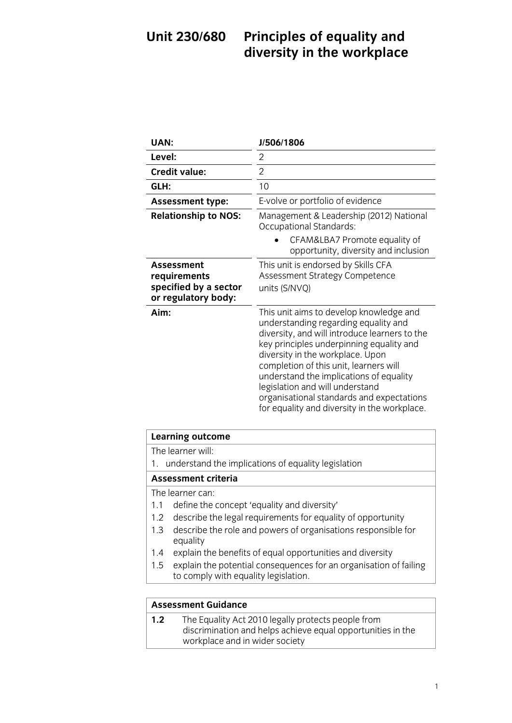## Unit 230/680 **Unit 230 Principles of the Workplace** diversity in the work place of the work place of the work place of the work place of the work place of the work<br>The work place of the work place of the work place of the work place of the work place of the work place of th

| <b>UAN:</b>                                                                       | J/506/1806                                                                                                                                                                                                                                                                                                                                                                                                                            |
|-----------------------------------------------------------------------------------|---------------------------------------------------------------------------------------------------------------------------------------------------------------------------------------------------------------------------------------------------------------------------------------------------------------------------------------------------------------------------------------------------------------------------------------|
| Level:                                                                            | 2                                                                                                                                                                                                                                                                                                                                                                                                                                     |
| <b>Credit value:</b>                                                              | $\overline{2}$                                                                                                                                                                                                                                                                                                                                                                                                                        |
| GLH:                                                                              | 10                                                                                                                                                                                                                                                                                                                                                                                                                                    |
| <b>Assessment type:</b>                                                           | E-volve or portfolio of evidence                                                                                                                                                                                                                                                                                                                                                                                                      |
| <b>Relationship to NOS:</b>                                                       | Management & Leadership (2012) National<br>Occupational Standards:                                                                                                                                                                                                                                                                                                                                                                    |
|                                                                                   | CFAM&LBA7 Promote equality of<br>opportunity, diversity and inclusion                                                                                                                                                                                                                                                                                                                                                                 |
| <b>Assessment</b><br>requirements<br>specified by a sector<br>or regulatory body: | This unit is endorsed by Skills CFA<br>Assessment Strategy Competence<br>units (S/NVQ)                                                                                                                                                                                                                                                                                                                                                |
| Aim:                                                                              | This unit aims to develop knowledge and<br>understanding regarding equality and<br>diversity, and will introduce learners to the<br>key principles underpinning equality and<br>diversity in the workplace. Upon<br>completion of this unit, learners will<br>understand the implications of equality<br>legislation and will understand<br>organisational standards and expectations<br>for equality and diversity in the workplace. |

| Learning outcome                                       |  |
|--------------------------------------------------------|--|
| The learner will:                                      |  |
| 1. understand the implications of equality legislation |  |
| <b>Assessment criteria</b>                             |  |
| The learner can:                                       |  |

- 1.1 define the concept 'equality and diversity'
- 1.2 describe the legal requirements for equality of opportunity
- $1.2$  describe the relevant requirements of opportunity of opportunity of  $\frac{1}{2}$ 1.3 describe the role and powers of organisations responsible for equality<br>1.4 explain the benefits of equal opportunities and diversity
- 
- 1.5 explain the potential consequences for an organisation of failing  $\frac{1}{5}$  for comply with equality legislation  $\frac{1}{\sqrt{1-\frac{1}{\sqrt{1-\frac{1}{\sqrt{1-\frac{1}{\sqrt{1-\frac{1}{\sqrt{1-\frac{1}{\sqrt{1-\frac{1}{\sqrt{1-\frac{1}{\sqrt{1-\frac{1}{\sqrt{1-\frac{1}{\sqrt{1-\frac{1}{\sqrt{1-\frac{1}{\sqrt{1-\frac{1}{\sqrt{1-\frac{1}{\sqrt{1-\frac{1}{\sqrt{1-\frac{1}{\sqrt{1-\frac{1}{\sqrt{1-\frac{1}{\sqrt{1-\frac{1}{\sqrt{1-\frac{1}{\sqrt{1-\frac{1}{\sqrt{1-\frac{1}{\sqrt{1-\frac{1}{\sqrt{1-\frac{1}{\sqrt{1-\frac{1$

**Assessment Guidance**<br>**1.2** The Equality Act 2010 legally protects people from discrimination and helps achieve equal opportunities in the  $\frac{d}{dx}$  workplace and in wider society  $\frac{1}{\sqrt{2}}$  which is a society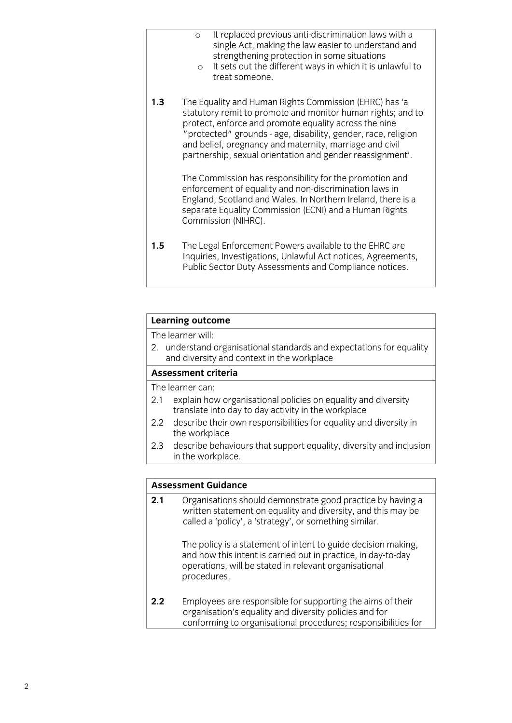| $\circ$ | It replaced previous anti-discrimination laws with a |
|---------|------------------------------------------------------|
|         | single Act, making the law easier to understand and  |
|         | strengthening protection in some situations          |

- o It sets out the different ways in which it is unlawful to<br>treat someone.
- $1.3$ The Equality and Human Rights Commission (EHRC) has 'a statutory remit to promote and monitor human rights; and to protect, enforce and promote equality across the nine "protected" grounds - age, disability, gender, race, religion and belief, pregnancy and maternity, marriage and civil partnership, sexual orientation and gender reassignment'. partnership, sexual orientation and gender reassignment'.

The Commission has responsibility for the promotion and enforcement of equality and non-discrimination laws in England, Scotland and Wales. In Northern Ireland, there is a separate Equality Commission (ECNI) and a Human Rights Commission (NIHRC). Commission (NIHRC).

 $1.5$ The Legal Enforcement Powers available to the EHRC are Inquiries, Investigations, Unlawful Act notices, Agreements, Public Sector Duty Assessments and Compliance notices. Public Sector Duty Assessments and Compliance notices.

# **Learning outcome**<br>The learner will:

2. understand organisational standards and expectations for equality and diversity and context in the workplace

### Assessment criteria

The learner can:

- 2.1 explain how organisational policies on equality and diversity translate into day to day activity in the workplace
- $2.2$ describe their own responsibilities for equality and diversity in the workplace
- $2.3$ describe behaviours that support equality, diversity and inclusion in the workplace. in the work place of the work place of the work place of the work place of the work place of the work of the w<br>In the work place of the work place of the work place of the work place of the work place of the work place of

#### **Assessment Guidance**

**2.1** Organisations should demonstrate good practice by having a written statement on equality and diversity, and this may be called a 'policy', a 'strategy', or something similar. called a 'policy', a 'strategy', or something similar similar similar similar similar similar.

> The policy is a statement of intent to guide decision making. and how this intent is carried out in practice, in day-to-day operations, will be stated in relevant organisational procedures. procedures.

 $2.2$ Employees are responsible for supporting the aims of their organisation's equality and diversity policies and for conforming to organisational procedures; responsibilities for conforming to organisation procedures; responsibilities for the second procedures; responsibilities for the second procedure of the second procedure of the second procedure of the second procedure of the second procedure o